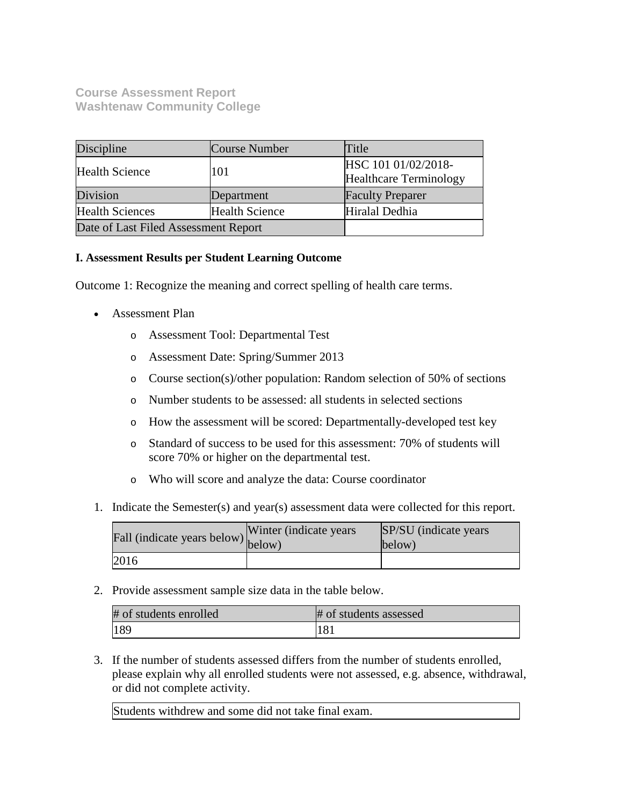# **Course Assessment Report Washtenaw Community College**

| Discipline                           | Course Number         | Title                                                |
|--------------------------------------|-----------------------|------------------------------------------------------|
| <b>Health Science</b>                | 101                   | HSC 101 01/02/2018-<br><b>Healthcare Terminology</b> |
| Division                             | Department            | <b>Faculty Preparer</b>                              |
| <b>Health Sciences</b>               | <b>Health Science</b> | Hiralal Dedhia                                       |
| Date of Last Filed Assessment Report |                       |                                                      |

## **I. Assessment Results per Student Learning Outcome**

Outcome 1: Recognize the meaning and correct spelling of health care terms.

- Assessment Plan
	- o Assessment Tool: Departmental Test
	- o Assessment Date: Spring/Summer 2013
	- o Course section(s)/other population: Random selection of 50% of sections
	- o Number students to be assessed: all students in selected sections
	- o How the assessment will be scored: Departmentally-developed test key
	- o Standard of success to be used for this assessment: 70% of students will score 70% or higher on the departmental test.
	- o Who will score and analyze the data: Course coordinator
- 1. Indicate the Semester(s) and year(s) assessment data were collected for this report.

| Fall (indicate years below) below) | Winter (indicate years) | SP/SU (indicate years)<br>below) |
|------------------------------------|-------------------------|----------------------------------|
| 2016                               |                         |                                  |

2. Provide assessment sample size data in the table below.

| # of students enrolled | # of students assessed |
|------------------------|------------------------|
| 189                    |                        |

3. If the number of students assessed differs from the number of students enrolled, please explain why all enrolled students were not assessed, e.g. absence, withdrawal, or did not complete activity.

Students withdrew and some did not take final exam.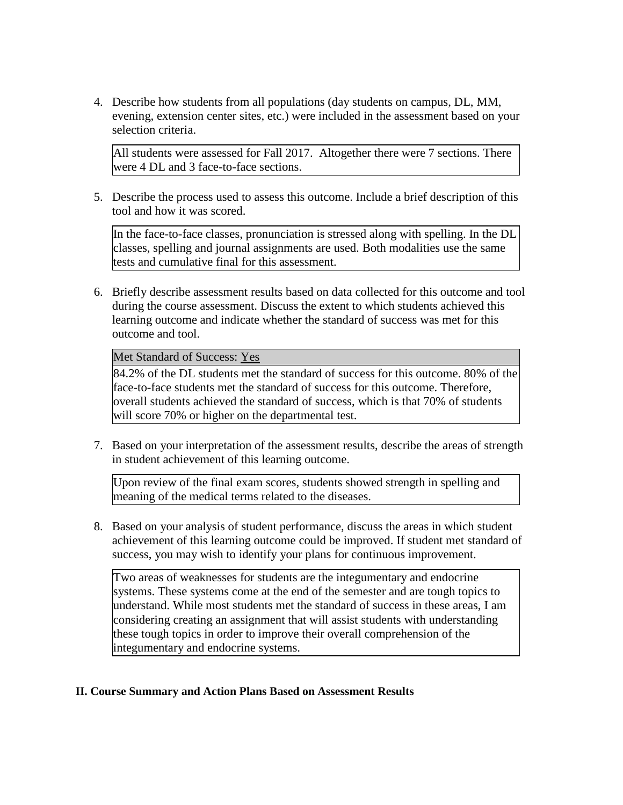4. Describe how students from all populations (day students on campus, DL, MM, evening, extension center sites, etc.) were included in the assessment based on your selection criteria.

All students were assessed for Fall 2017. Altogether there were 7 sections. There were 4 DL and 3 face-to-face sections.

5. Describe the process used to assess this outcome. Include a brief description of this tool and how it was scored.

In the face-to-face classes, pronunciation is stressed along with spelling. In the DL classes, spelling and journal assignments are used. Both modalities use the same tests and cumulative final for this assessment.

6. Briefly describe assessment results based on data collected for this outcome and tool during the course assessment. Discuss the extent to which students achieved this learning outcome and indicate whether the standard of success was met for this outcome and tool.

### Met Standard of Success: Yes

84.2% of the DL students met the standard of success for this outcome. 80% of the face-to-face students met the standard of success for this outcome. Therefore, overall students achieved the standard of success, which is that 70% of students will score 70% or higher on the departmental test.

7. Based on your interpretation of the assessment results, describe the areas of strength in student achievement of this learning outcome.

Upon review of the final exam scores, students showed strength in spelling and meaning of the medical terms related to the diseases.

8. Based on your analysis of student performance, discuss the areas in which student achievement of this learning outcome could be improved. If student met standard of success, you may wish to identify your plans for continuous improvement.

Two areas of weaknesses for students are the integumentary and endocrine systems. These systems come at the end of the semester and are tough topics to understand. While most students met the standard of success in these areas, I am considering creating an assignment that will assist students with understanding these tough topics in order to improve their overall comprehension of the integumentary and endocrine systems.

## **II. Course Summary and Action Plans Based on Assessment Results**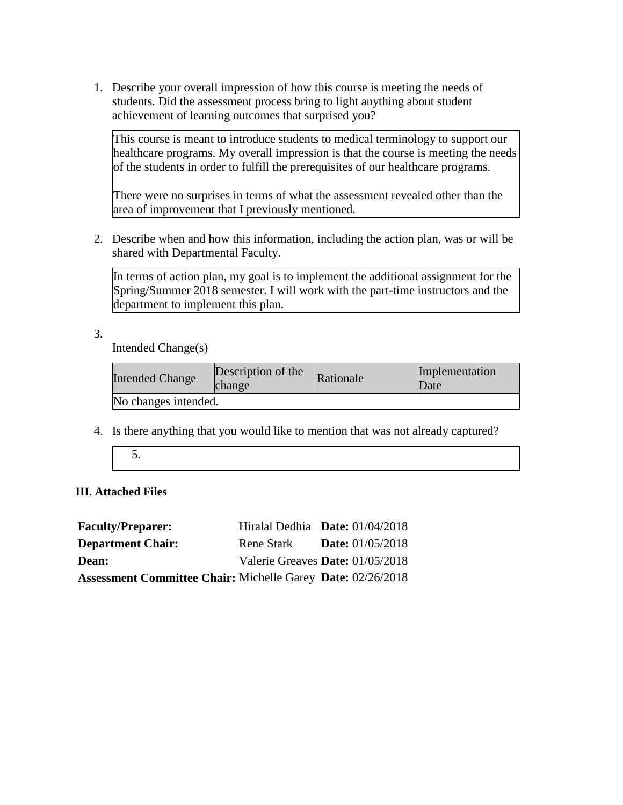1. Describe your overall impression of how this course is meeting the needs of students. Did the assessment process bring to light anything about student achievement of learning outcomes that surprised you?

This course is meant to introduce students to medical terminology to support our healthcare programs. My overall impression is that the course is meeting the needs of the students in order to fulfill the prerequisites of our healthcare programs.

There were no surprises in terms of what the assessment revealed other than the area of improvement that I previously mentioned.

2. Describe when and how this information, including the action plan, was or will be shared with Departmental Faculty.

In terms of action plan, my goal is to implement the additional assignment for the Spring/Summer 2018 semester. I will work with the part-time instructors and the department to implement this plan.

3.

Intended Change(s)

| <b>Intended Change</b> | Description of the<br>change | Rationale | Implementation<br>Date |
|------------------------|------------------------------|-----------|------------------------|
| No changes intended.   |                              |           |                        |

4. Is there anything that you would like to mention that was not already captured?

5.

## **III. Attached Files**

| <b>Faculty/Preparer:</b>                                           |                   | Hiralal Dedhia Date: $01/04/2018$ |
|--------------------------------------------------------------------|-------------------|-----------------------------------|
| <b>Department Chair:</b>                                           | <b>Rene Stark</b> | <b>Date:</b> $01/05/2018$         |
| <b>Dean:</b>                                                       |                   | Valerie Greaves Date: 01/05/2018  |
| <b>Assessment Committee Chair: Michelle Garey Date: 02/26/2018</b> |                   |                                   |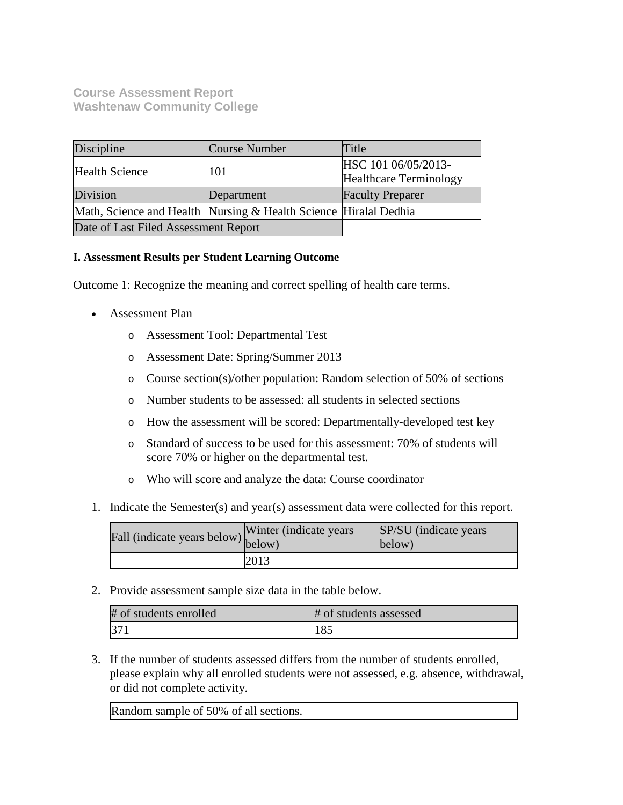## **Course Assessment Report Washtenaw Community College**

| Discipline                           | Course Number                                                    | Title                                                |
|--------------------------------------|------------------------------------------------------------------|------------------------------------------------------|
| <b>Health Science</b>                | 101                                                              | HSC 101 06/05/2013-<br><b>Healthcare Terminology</b> |
| Division                             | Department                                                       | <b>Faculty Preparer</b>                              |
|                                      | Math, Science and Health Nursing & Health Science Hiralal Dedhia |                                                      |
| Date of Last Filed Assessment Report |                                                                  |                                                      |

## **I. Assessment Results per Student Learning Outcome**

Outcome 1: Recognize the meaning and correct spelling of health care terms.

- Assessment Plan
	- o Assessment Tool: Departmental Test
	- o Assessment Date: Spring/Summer 2013
	- o Course section(s)/other population: Random selection of 50% of sections
	- o Number students to be assessed: all students in selected sections
	- o How the assessment will be scored: Departmentally-developed test key
	- o Standard of success to be used for this assessment: 70% of students will score 70% or higher on the departmental test.
	- o Who will score and analyze the data: Course coordinator
- 1. Indicate the Semester(s) and year(s) assessment data were collected for this report.

| Fall (indicate years below) below) | Winter (indicate years) | SP/SU (indicate years)<br>below) |
|------------------------------------|-------------------------|----------------------------------|
|                                    | 2013                    |                                  |

2. Provide assessment sample size data in the table below.

| # of students enrolled | # of students assessed |
|------------------------|------------------------|
| $37^\circ$             |                        |

3. If the number of students assessed differs from the number of students enrolled, please explain why all enrolled students were not assessed, e.g. absence, withdrawal, or did not complete activity.

Random sample of 50% of all sections.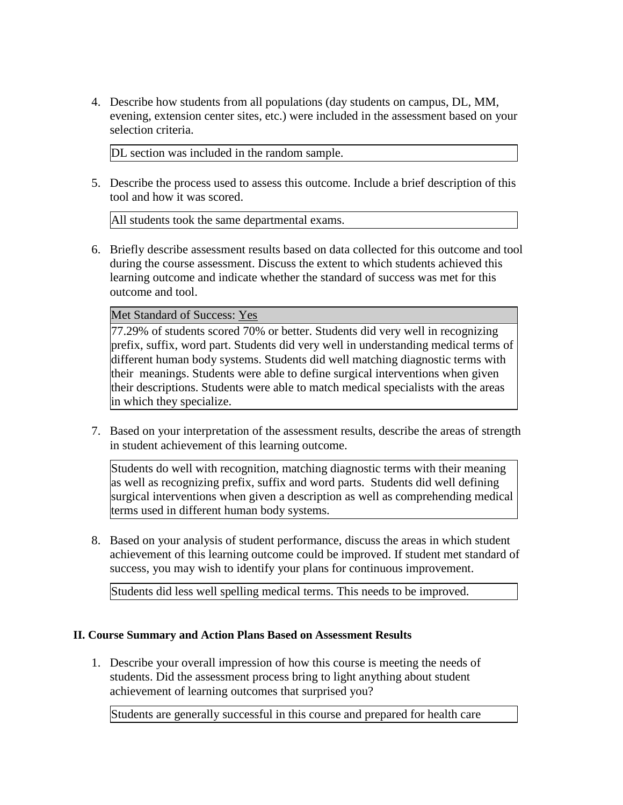4. Describe how students from all populations (day students on campus, DL, MM, evening, extension center sites, etc.) were included in the assessment based on your selection criteria.

DL section was included in the random sample.

5. Describe the process used to assess this outcome. Include a brief description of this tool and how it was scored.

All students took the same departmental exams.

6. Briefly describe assessment results based on data collected for this outcome and tool during the course assessment. Discuss the extent to which students achieved this learning outcome and indicate whether the standard of success was met for this outcome and tool.

Met Standard of Success: Yes

77.29% of students scored 70% or better. Students did very well in recognizing prefix, suffix, word part. Students did very well in understanding medical terms of different human body systems. Students did well matching diagnostic terms with their meanings. Students were able to define surgical interventions when given their descriptions. Students were able to match medical specialists with the areas in which they specialize.

7. Based on your interpretation of the assessment results, describe the areas of strength in student achievement of this learning outcome.

Students do well with recognition, matching diagnostic terms with their meaning as well as recognizing prefix, suffix and word parts. Students did well defining surgical interventions when given a description as well as comprehending medical terms used in different human body systems.

8. Based on your analysis of student performance, discuss the areas in which student achievement of this learning outcome could be improved. If student met standard of success, you may wish to identify your plans for continuous improvement.

Students did less well spelling medical terms. This needs to be improved.

## **II. Course Summary and Action Plans Based on Assessment Results**

1. Describe your overall impression of how this course is meeting the needs of students. Did the assessment process bring to light anything about student achievement of learning outcomes that surprised you?

Students are generally successful in this course and prepared for health care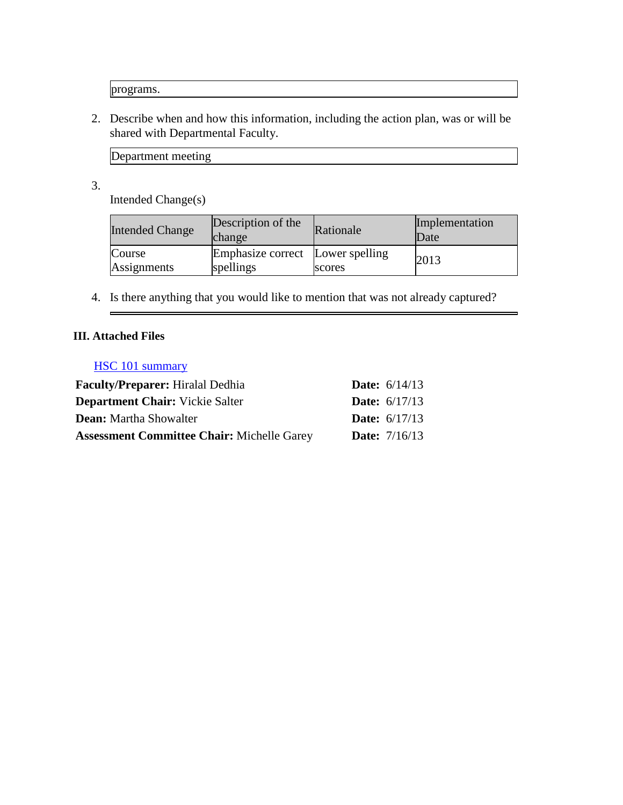programs.

2. Describe when and how this information, including the action plan, was or will be shared with Departmental Faculty.

Department meeting

3.

Intended Change(s)

| <b>Intended Change</b> | Description of the<br>change                  | Rationale | Implementation<br>Date |
|------------------------|-----------------------------------------------|-----------|------------------------|
| Course<br>Assignments  | Emphasize correct Lower spelling<br>spellings | scores    | 2013                   |

4. Is there anything that you would like to mention that was not already captured?

# **III. Attached Files**

 $\overline{ }$ 

## HSC 101 summary

| <b>Faculty/Preparer:</b> Hiralal Dedhia           | <b>Date:</b> $6/14/13$ |
|---------------------------------------------------|------------------------|
| <b>Department Chair:</b> Vickie Salter            | <b>Date:</b> $6/17/13$ |
| <b>Dean:</b> Martha Showalter                     | <b>Date:</b> $6/17/13$ |
| <b>Assessment Committee Chair: Michelle Garey</b> | <b>Date:</b> $7/16/13$ |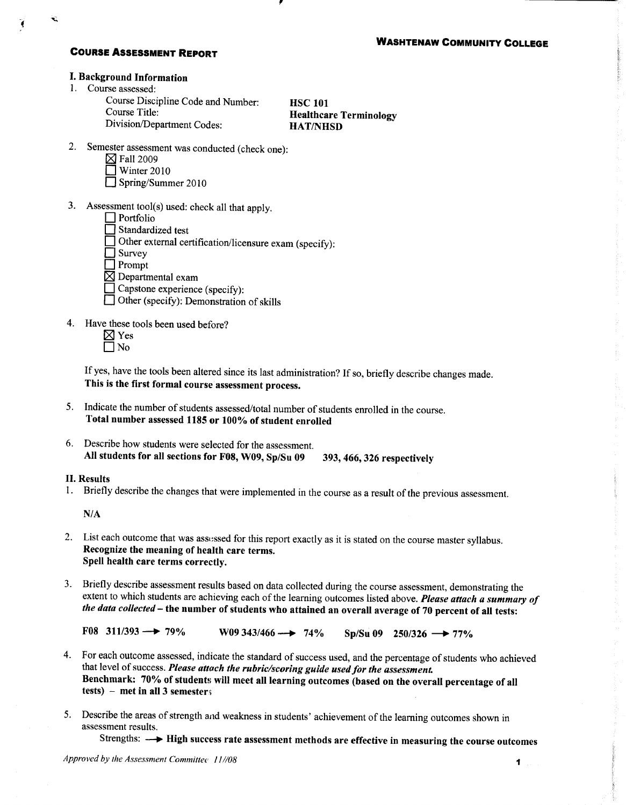### **COURSE ASSESSMENT REPORT**

### **I. Background Information**

1. Course assessed:

Course Discipline Code and Number: Course Title: Division/Department Codes:

**HSC 101 Healthcare Terminology HAT/NHSD** 

- 2. Semester assessment was conducted (check one):
	- $\boxtimes$  Fall 2009
	- $\sqrt{ }$  Winter 2010
	- Spring/Summer 2010
- 3. Assessment tool(s) used: check all that apply.
	- $\Box$  Portfolio
	- □ Standardized test
	- Other external certification/licensure exam (specify):
	- $\Box$  Survey
	- $\Box$  Prompt
	- $\boxtimes$  Departmental exam
	- $\Box$  Capstone experience (specify):
	- □ Other (specify): Demonstration of skills
- 4. Have these tools been used before?
	- $\boxtimes$  Yes  $\Box$  No
	- If yes, have the tools been altered since its last administration? If so, briefly describe changes made. This is the first formal course assessment process.
- 5. Indicate the number of students assessed/total number of students enrolled in the course. Total number assessed 1185 or 100% of student enrolled
- 6. Describe how students were selected for the assessment. All students for all sections for F08, W09, Sp/Su 09 393, 466, 326 respectively

#### **II. Results**

1. Briefly describe the changes that were implemented in the course as a result of the previous assessment.

 $N/A$ 

- 2. List each outcome that was assessed for this report exactly as it is stated on the course master syllabus. Recognize the meaning of health care terms. Spell health care terms correctly.
- 3. Briefly describe assessment results based on data collected during the course assessment, demonstrating the extent to which students are achieving each of the learning outcomes listed above. Please attach a summary of the data collected - the number of students who attained an overall average of 70 percent of all tests:

 $F08$  311/393 - 79% W09 343/466  $\longrightarrow$  74% Sp/Su 09 250/326  $\longrightarrow$  77%

- 4. For each outcome assessed, indicate the standard of success used, and the percentage of students who achieved that level of success. Please attach the rubric/scoring guide used for the assessment. Benchmark: 70% of students will meet all learning outcomes (based on the overall percentage of all tests) – met in all 3 semesters
- 5. Describe the areas of strength and weakness in students' achievement of the learning outcomes shown in assessment results.

Strengths:  $\longrightarrow$  High success rate assessment methods are effective in measuring the course outcomes